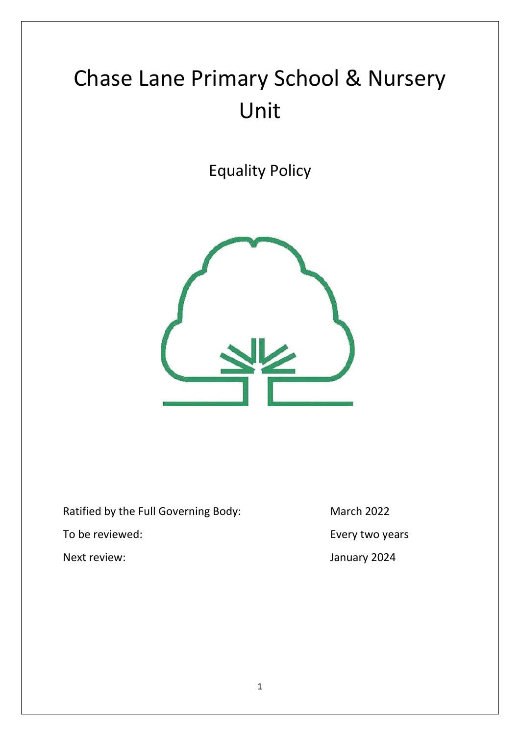# Chase Lane Primary School & Nursery Unit

Equality Policy



Ratified by the Full Governing Body: March 2022

Next review: January 2024

To be reviewed: To be reviewed: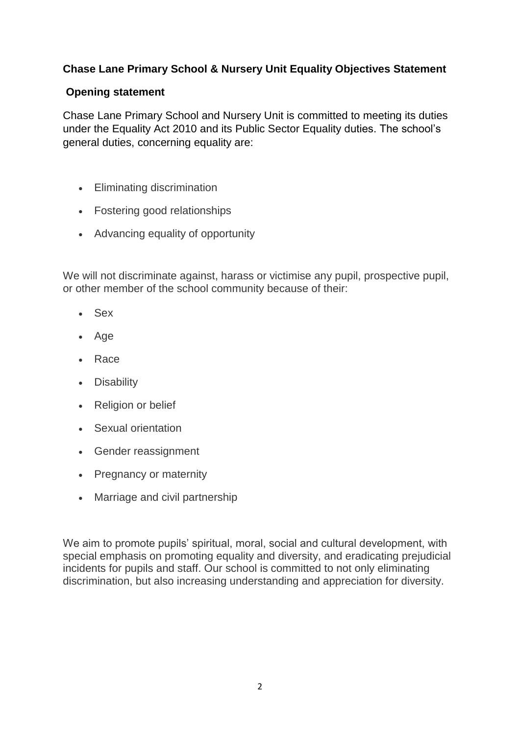# **Chase Lane Primary School & Nursery Unit Equality Objectives Statement**

# **Opening statement**

Chase Lane Primary School and Nursery Unit is committed to meeting its duties under the Equality Act 2010 and its Public Sector Equality duties. The school's general duties, concerning equality are:

- Eliminating discrimination
- Fostering good relationships
- Advancing equality of opportunity

We will not discriminate against, harass or victimise any pupil, prospective pupil, or other member of the school community because of their:

- Sex
- Age
- Race
- Disability
- Religion or belief
- Sexual orientation
- Gender reassignment
- Pregnancy or maternity
- Marriage and civil partnership

We aim to promote pupils' spiritual, moral, social and cultural development, with special emphasis on promoting equality and diversity, and eradicating prejudicial incidents for pupils and staff. Our school is committed to not only eliminating discrimination, but also increasing understanding and appreciation for diversity.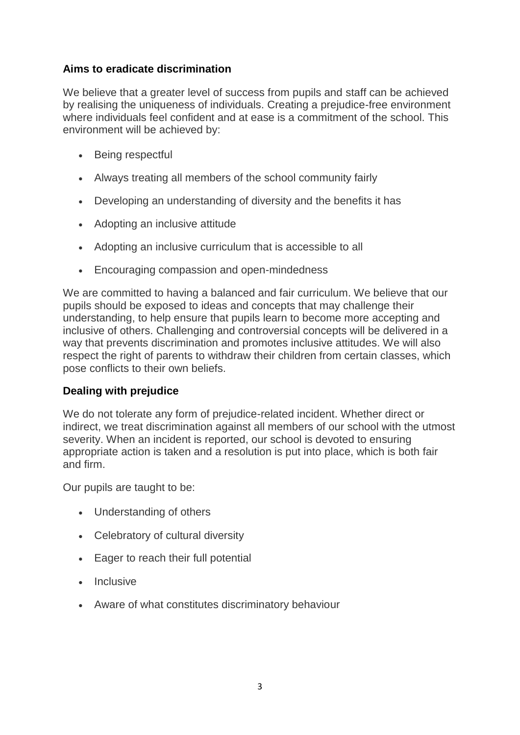### **Aims to eradicate discrimination**

We believe that a greater level of success from pupils and staff can be achieved by realising the uniqueness of individuals. Creating a prejudice-free environment where individuals feel confident and at ease is a commitment of the school. This environment will be achieved by:

- Being respectful
- Always treating all members of the school community fairly
- Developing an understanding of diversity and the benefits it has
- Adopting an inclusive attitude
- Adopting an inclusive curriculum that is accessible to all
- Encouraging compassion and open-mindedness

We are committed to having a balanced and fair curriculum. We believe that our pupils should be exposed to ideas and concepts that may challenge their understanding, to help ensure that pupils learn to become more accepting and inclusive of others. Challenging and controversial concepts will be delivered in a way that prevents discrimination and promotes inclusive attitudes. We will also respect the right of parents to withdraw their children from certain classes, which pose conflicts to their own beliefs.

#### **Dealing with prejudice**

We do not tolerate any form of prejudice-related incident. Whether direct or indirect, we treat discrimination against all members of our school with the utmost severity. When an incident is reported, our school is devoted to ensuring appropriate action is taken and a resolution is put into place, which is both fair and firm.

Our pupils are taught to be:

- Understanding of others
- Celebratory of cultural diversity
- Eager to reach their full potential
- $\cdot$  Inclusive
- Aware of what constitutes discriminatory behaviour